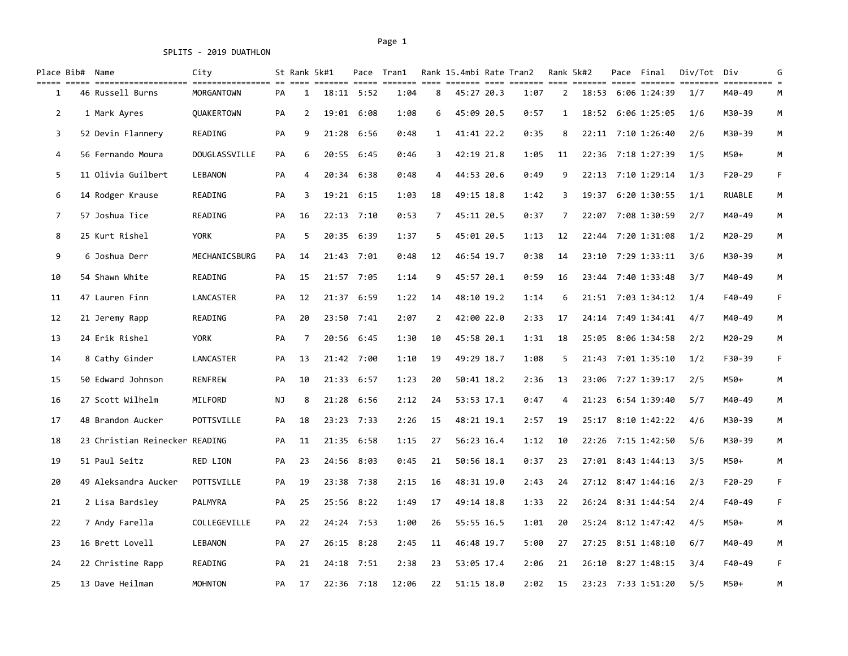SPLITS - 2019 DUATHLON

## Page 1 Page 1

| Place Bib# Name |                                | City              |    | St Rank 5k#1   |       |              | Pace Tran1 |                | Rank 15.4mbi Rate Tran2 |            |      |                | Rank 5k#2 | Pace Final         | Div/Tot | Div      | G |
|-----------------|--------------------------------|-------------------|----|----------------|-------|--------------|------------|----------------|-------------------------|------------|------|----------------|-----------|--------------------|---------|----------|---|
| 1               | 46 Russell Burns               | MORGANTOWN        | PA | 1              |       | 18:11 5:52   | 1:04       | $8\phantom{1}$ | 45:27 20.3              |            | 1:07 | $\overline{2}$ |           | 18:53 6:06 1:24:39 | 1/7     | M40-49   | М |
| 2               | 1 Mark Ayres                   | <b>OUAKERTOWN</b> | PA | $\overline{2}$ | 19:01 | 6:08         | 1:08       | 6              |                         | 45:09 20.5 | 0:57 | 1              |           | 18:52 6:06 1:25:05 | 1/6     | M30-39   | М |
| 3               | 52 Devin Flannery              | READING           | PA | 9              | 21:28 | 6:56         | 0:48       | $\mathbf{1}$   |                         | 41:41 22.2 | 0:35 | 8              |           | 22:11 7:10 1:26:40 | 2/6     | M30-39   | М |
| 4               | 56 Fernando Moura              | DOUGLASSVILLE     | PA | 6              | 20:55 | 6:45         | 0:46       | 3              | 42:19 21.8              |            | 1:05 | 11             |           | 22:36 7:18 1:27:39 | 1/5     | M50+     | M |
| 5               | 11 Olivia Guilbert             | LEBANON           | PA | 4              |       | 20:34 6:38   | 0:48       | 4              |                         | 44:53 20.6 | 0:49 | 9              |           | 22:13 7:10 1:29:14 | 1/3     | F20-29   | F |
| 6               | 14 Rodger Krause               | READING           | PA | 3              |       | 19:21 6:15   | 1:03       | 18             | 49:15 18.8              |            | 1:42 | 3              |           | 19:37 6:20 1:30:55 | 1/1     | RUABLE   | М |
| $\overline{7}$  | 57 Joshua Tice                 | READING           | PA | 16             |       | $22:13$ 7:10 | 0:53       | $\overline{7}$ | 45:11 20.5              |            | 0:37 | $\overline{7}$ |           | 22:07 7:08 1:30:59 | 2/7     | M40-49   | М |
| 8               | 25 Kurt Rishel                 | <b>YORK</b>       | PA | 5              |       | 20:35 6:39   | 1:37       | 5              | 45:01 20.5              |            | 1:13 | 12             |           | 22:44 7:20 1:31:08 | 1/2     | M20-29   | M |
| 9               | 6 Joshua Derr                  | MECHANICSBURG     | PA | 14             |       | 21:43 7:01   | 0:48       | 12             | 46:54 19.7              |            | 0:38 | 14             |           | 23:10 7:29 1:33:11 | 3/6     | M30-39   | М |
| 10              | 54 Shawn White                 | READING           | PA | 15             |       | 21:57 7:05   | 1:14       | 9              | 45:57 20.1              |            | 0:59 | 16             |           | 23:44 7:40 1:33:48 | 3/7     | M40-49   | M |
| 11              | 47 Lauren Finn                 | LANCASTER         | PA | 12             |       | 21:37 6:59   | 1:22       | 14             | 48:10 19.2              |            | 1:14 | 6              |           | 21:51 7:03 1:34:12 | 1/4     | F40-49   | F |
| 12              | 21 Jeremy Rapp                 | READING           | PA | 20             |       | 23:50 7:41   | 2:07       | $\overline{2}$ | 42:00 22.0              |            | 2:33 | 17             |           | 24:14 7:49 1:34:41 | 4/7     | M40-49   | M |
| 13              | 24 Erik Rishel                 | YORK              | PA | 7              | 20:56 | 6:45         | 1:30       | 10             | 45:58 20.1              |            | 1:31 | 18             |           | 25:05 8:06 1:34:58 | 2/2     | M20-29   | М |
| 14              | 8 Cathy Ginder                 | LANCASTER         | PA | 13             |       | 21:42 7:00   | 1:10       | 19             | 49:29 18.7              |            | 1:08 | 5              |           | 21:43 7:01 1:35:10 | 1/2     | F30-39   | F |
| 15              | 50 Edward Johnson              | <b>RENFREW</b>    | PA | 10             | 21:33 | 6:57         | 1:23       | 20             |                         | 50:41 18.2 | 2:36 | 13             |           | 23:06 7:27 1:39:17 | 2/5     | M50+     | M |
| 16              | 27 Scott Wilhelm               | MILFORD           | ΝJ | 8              | 21:28 | 6:56         | 2:12       | 24             |                         | 53:53 17.1 | 0:47 | 4              |           | 21:23 6:54 1:39:40 | 5/7     | M40-49   | M |
| 17              | 48 Brandon Aucker              | POTTSVILLE        | PA | 18             |       | 23:23 7:33   | 2:26       | 15             | 48:21 19.1              |            | 2:57 | 19             |           | 25:17 8:10 1:42:22 | 4/6     | M30-39   | M |
| 18              | 23 Christian Reinecker READING |                   | PA | 11             |       | 21:35 6:58   | 1:15       | 27             | 56:23 16.4              |            | 1:12 | 10             |           | 22:26 7:15 1:42:50 | 5/6     | M30-39   | M |
| 19              | 51 Paul Seitz                  | RED LION          | PA | 23             | 24:56 | 8:03         | 0:45       | 21             |                         | 50:56 18.1 | 0:37 | 23             |           | 27:01 8:43 1:44:13 | 3/5     | M50+     | M |
| 20              | 49 Aleksandra Aucker           | POTTSVILLE        | PA | 19             |       | 23:38 7:38   | 2:15       | 16             |                         | 48:31 19.0 | 2:43 | 24             |           | 27:12 8:47 1:44:16 | 2/3     | $F20-29$ | F |
| 21              | 2 Lisa Bardsley                | PALMYRA           | PA | 25             |       | 25:56 8:22   | 1:49       | 17             | 49:14 18.8              |            | 1:33 | 22             |           | 26:24 8:31 1:44:54 | 2/4     | F40-49   | F |
| 22              | 7 Andy Farella                 | COLLEGEVILLE      | PA | 22             |       | 24:24 7:53   | 1:00       | 26             | 55:55 16.5              |            | 1:01 | 20             |           | 25:24 8:12 1:47:42 | 4/5     | M50+     | M |
| 23              | 16 Brett Lovell                | <b>LEBANON</b>    | PA | 27             |       | 26:15 8:28   | 2:45       | 11             | 46:48 19.7              |            | 5:00 | 27             |           | 27:25 8:51 1:48:10 | 6/7     | M40-49   | М |
| 24              | 22 Christine Rapp              | READING           | PA | 21             |       | 24:18 7:51   | 2:38       | 23             | 53:05 17.4              |            | 2:06 | 21             |           | 26:10 8:27 1:48:15 | 3/4     | F40-49   | F |
| 25              | 13 Dave Heilman                | <b>MOHNTON</b>    | PA | 17             |       | $22:36$ 7:18 | 12:06      | 22             | 51:15 18.0              |            | 2:02 | 15             |           | 23:23 7:33 1:51:20 | 5/5     | M50+     | M |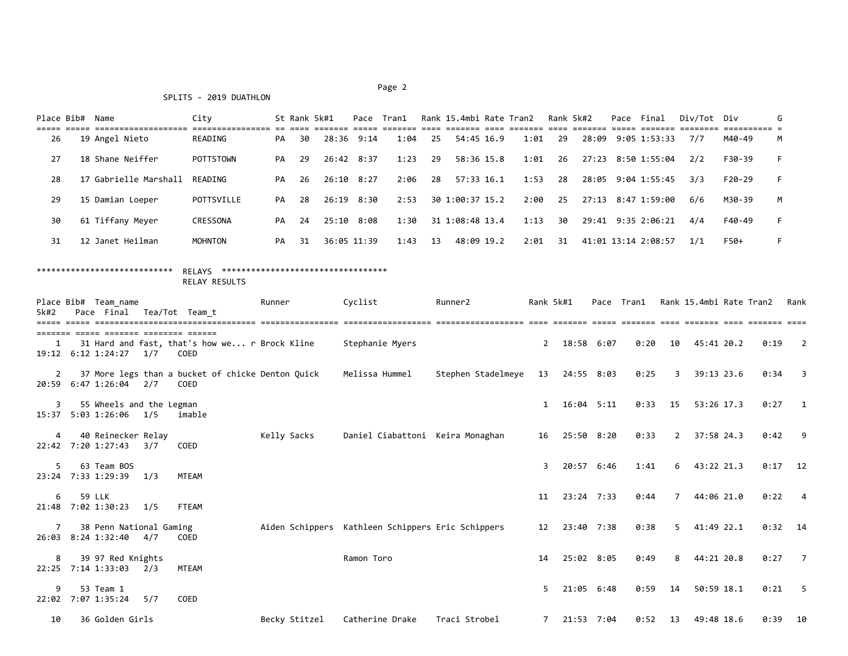## Page 2 and 2 and 2 and 2 and 2 and 2 and 2 and 2 and 2 and 2 and 2 and 2 and 2 and 2 and 2 and 2 and 2 and 2

## SPLITS - 2019 DUATHLON

| Place Bib# | Name                  | City           |    | St Rank 5k#1 |            | Pace        | Tran1 |      | Rank 15.4mbi Rate Tran2 |      | Rank 5k#2 |       | Pace Final          | Div/Tot Div |          | G   |
|------------|-----------------------|----------------|----|--------------|------------|-------------|-------|------|-------------------------|------|-----------|-------|---------------------|-------------|----------|-----|
| 26         | 19 Angel Nieto        | READING        | PA | 30           |            | 28:36 9:14  | 1:04  | 25   | 54:45 16.9              | 1:01 | 29        | 28:09 | 9:05 1:53:33        | 7/7         | M40-49   | M   |
| 27         | 18 Shane Neiffer      | POTTSTOWN      | PA | -29          | 26:42 8:37 |             | 1:23  | 29   | 58:36 15.8              | 1:01 | -26       |       | 27:23 8:50 1:55:04  | 2/2         | F30-39   | - F |
| 28         | 17 Gabrielle Marshall | READING        | PA | 26           |            | 26:10 8:27  | 2:06  | -28  | $57:33$ 16.1            | 1:53 | -28       |       | 28:05 9:04 1:55:45  | 3/3         | $F20-29$ | E.  |
| 29         | 15 Damian Loeper      | POTTSVILLE     | PA | 28           | 26:19      | 8:30        | 2:53  |      | 30 1:00:37 15.2         | 2:00 | 25        |       | 27:13 8:47 1:59:00  | 6/6         | M30-39   | M   |
| 30         | 61 Tiffany Meyer      | CRESSONA       | PA | 24           | 25:10 8:08 |             | 1:30  |      | 31 1:08:48 13.4         | 1:13 | 30        |       | 29:41 9:35 2:06:21  | 4/4         | F40-49   | F.  |
| 31         | 12 Janet Heilman      | <b>MOHNTON</b> | PA | 31           |            | 36:05 11:39 | 1:43  | - 13 | 48:09 19.2              | 2:01 | 31        |       | 41:01 13:14 2:08:57 | 1/1         | F50+     | F.  |

## \*\*\*\*\*\*\*\*\*\*\*\*\*\*\*\*\*\*\*\*\*\*\*\*\*\*\*\* RELAYS \*\*\*\*\*\*\*\*\*\*\*\*\*\*\*\*\*\*\*\*\*\*\*\*\*\*\*\*\*\*\*\*\*\* RELAY RESULTS

| 5k#2           | Place Bib# Team name<br>Pace Final                 |     | Tea/Tot Team t                                                                                 | Runner        | Cyclist                                           | Runner2            |              | Rank 5k#1     |              | Pace Tran1 |                | Rank 15.4mbi Rate Tran2 |      | Rank                     |
|----------------|----------------------------------------------------|-----|------------------------------------------------------------------------------------------------|---------------|---------------------------------------------------|--------------------|--------------|---------------|--------------|------------|----------------|-------------------------|------|--------------------------|
| 1              | 19:12 6:12 1:24:27                                 | 1/7 | ======= ===== ======= ======== ======<br>31 Hard and fast, that's how we r Brock Kline<br>COED |               | Stephanie Myers                                   |                    | $2^{\circ}$  |               | 18:58 6:07   | 0:20       | 10             | 45:41 20.2              | 0:19 | $\overline{2}$           |
| $\overline{2}$ | 20:59 6:47 1:26:04 2/7                             |     | 37 More legs than a bucket of chicke Denton Quick<br>COED                                      |               | Melissa Hummel                                    | Stephen Stadelmeye |              | 13 24:55 8:03 |              | 0:25       | 3              | 39:13 23.6              | 0:34 | $\overline{\mathbf{3}}$  |
| 3              | 55 Wheels and the Legman<br>15:37 5:03 1:26:06 1/5 |     | imable                                                                                         |               |                                                   |                    | $\mathbf{1}$ |               | 16:04 5:11   | 0:33       | 15             | 53:26 17.3              | 0:27 | $\overline{1}$           |
| 4              | 40 Reinecker Relay<br>22:42 7:20 1:27:43 3/7       |     | COED                                                                                           | Kelly Sacks   | Daniel Ciabattoni Keira Monaghan                  |                    | 16           |               | 25:50 8:20   | 0:33       | 2              | 37:58 24.3              | 0:42 | - 9                      |
| 5              | 63 Team BOS<br>23:24 7:33 1:29:39                  | 1/3 | <b>MTEAM</b>                                                                                   |               |                                                   |                    | $\mathbf{R}$ |               | 20:57 6:46   | 1:41       | 6              | 43:22 21.3              | 0:17 | 12                       |
| 6              | 59 LLK<br>21:48 7:02 1:30:23                       | 1/5 | FTEAM                                                                                          |               |                                                   |                    | 11           |               | $23:24$ 7:33 | 0:44       | $\overline{7}$ | 44:06 21.0              | 0:22 | $\overline{4}$           |
| 7              | 38 Penn National Gaming<br>26:03 8:24 1:32:40      | 4/7 | COED                                                                                           |               | Aiden Schippers Kathleen Schippers Eric Schippers |                    | 12           |               | 23:40 7:38   | 0:38       | 5 <sup>1</sup> | 41:49 22.1              |      | $0:32$ 14                |
| 8              | 39 97 Red Knights<br>22:25 7:14 1:33:03            | 2/3 | <b>MTEAM</b>                                                                                   |               | Ramon Toro                                        |                    | 14           |               | 25:02 8:05   | 0:49       | 8              | 44:21 20.8              | 0:27 | $\overline{7}$           |
| 9<br>22:02     | 53 Team 1<br>7:07 1:35:24                          | 5/7 | COED                                                                                           |               |                                                   |                    | 5            |               | 21:05 6:48   | 0:59       | 14             | 50:59 18.1              | 0:21 | $\overline{\phantom{0}}$ |
| 10             | 36 Golden Girls                                    |     |                                                                                                | Becky Stitzel | Catherine Drake                                   | Traci Strobel      | $7^{\circ}$  |               | 21:53 7:04   |            | $0:52$ 13      | 49:48 18.6              | 0:39 | 10                       |